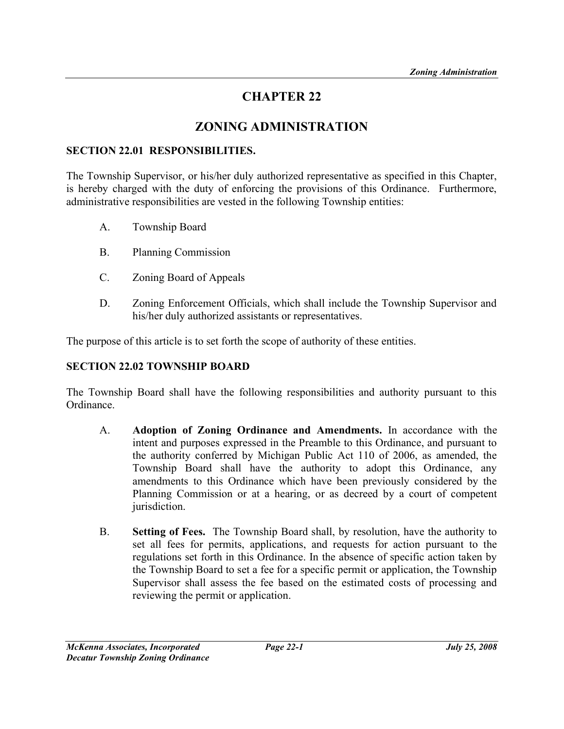# CHAPTER 22

## ZONING ADMINISTRATION

#### SECTION 22.01 RESPONSIBILITIES.

The Township Supervisor, or his/her duly authorized representative as specified in this Chapter, is hereby charged with the duty of enforcing the provisions of this Ordinance. Furthermore, administrative responsibilities are vested in the following Township entities:

- A. Township Board
- B. Planning Commission
- C. Zoning Board of Appeals
- D. Zoning Enforcement Officials, which shall include the Township Supervisor and his/her duly authorized assistants or representatives.

The purpose of this article is to set forth the scope of authority of these entities.

### SECTION 22.02 TOWNSHIP BOARD

The Township Board shall have the following responsibilities and authority pursuant to this Ordinance.

- A. Adoption of Zoning Ordinance and Amendments. In accordance with the intent and purposes expressed in the Preamble to this Ordinance, and pursuant to the authority conferred by Michigan Public Act 110 of 2006, as amended, the Township Board shall have the authority to adopt this Ordinance, any amendments to this Ordinance which have been previously considered by the Planning Commission or at a hearing, or as decreed by a court of competent jurisdiction.
- B. Setting of Fees. The Township Board shall, by resolution, have the authority to set all fees for permits, applications, and requests for action pursuant to the regulations set forth in this Ordinance. In the absence of specific action taken by the Township Board to set a fee for a specific permit or application, the Township Supervisor shall assess the fee based on the estimated costs of processing and reviewing the permit or application.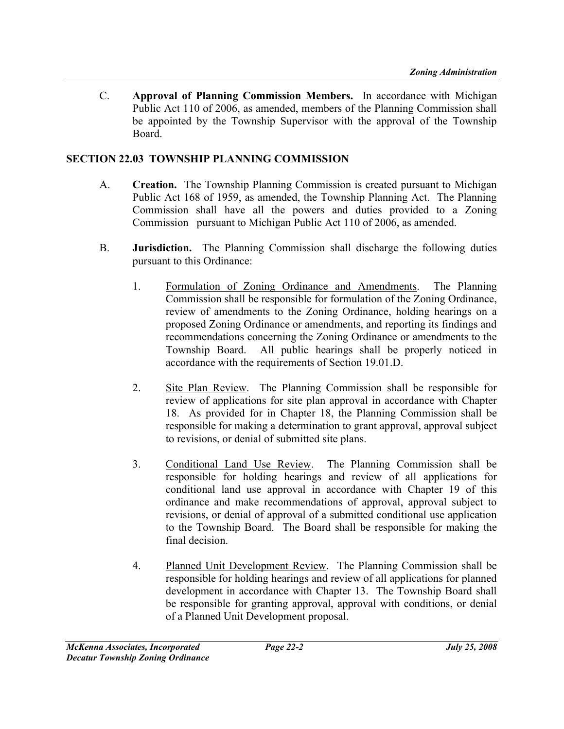C. Approval of Planning Commission Members. In accordance with Michigan Public Act 110 of 2006, as amended, members of the Planning Commission shall be appointed by the Township Supervisor with the approval of the Township Board.

#### SECTION 22.03 TOWNSHIP PLANNING COMMISSION

- A. Creation. The Township Planning Commission is created pursuant to Michigan Public Act 168 of 1959, as amended, the Township Planning Act. The Planning Commission shall have all the powers and duties provided to a Zoning Commission pursuant to Michigan Public Act 110 of 2006, as amended.
- B. Jurisdiction. The Planning Commission shall discharge the following duties pursuant to this Ordinance:
	- 1. Formulation of Zoning Ordinance and Amendments. The Planning Commission shall be responsible for formulation of the Zoning Ordinance, review of amendments to the Zoning Ordinance, holding hearings on a proposed Zoning Ordinance or amendments, and reporting its findings and recommendations concerning the Zoning Ordinance or amendments to the Township Board. All public hearings shall be properly noticed in accordance with the requirements of Section 19.01.D.
	- 2. Site Plan Review. The Planning Commission shall be responsible for review of applications for site plan approval in accordance with Chapter 18. As provided for in Chapter 18, the Planning Commission shall be responsible for making a determination to grant approval, approval subject to revisions, or denial of submitted site plans.
	- 3. Conditional Land Use Review. The Planning Commission shall be responsible for holding hearings and review of all applications for conditional land use approval in accordance with Chapter 19 of this ordinance and make recommendations of approval, approval subject to revisions, or denial of approval of a submitted conditional use application to the Township Board. The Board shall be responsible for making the final decision.
	- 4. Planned Unit Development Review. The Planning Commission shall be responsible for holding hearings and review of all applications for planned development in accordance with Chapter 13. The Township Board shall be responsible for granting approval, approval with conditions, or denial of a Planned Unit Development proposal.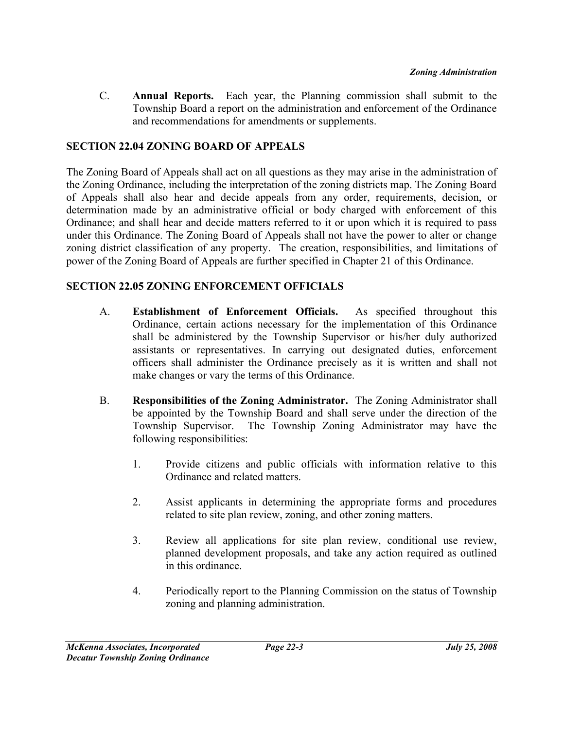C. Annual Reports. Each year, the Planning commission shall submit to the Township Board a report on the administration and enforcement of the Ordinance and recommendations for amendments or supplements.

### SECTION 22.04 ZONING BOARD OF APPEALS

The Zoning Board of Appeals shall act on all questions as they may arise in the administration of the Zoning Ordinance, including the interpretation of the zoning districts map. The Zoning Board of Appeals shall also hear and decide appeals from any order, requirements, decision, or determination made by an administrative official or body charged with enforcement of this Ordinance; and shall hear and decide matters referred to it or upon which it is required to pass under this Ordinance. The Zoning Board of Appeals shall not have the power to alter or change zoning district classification of any property. The creation, responsibilities, and limitations of power of the Zoning Board of Appeals are further specified in Chapter 21 of this Ordinance.

## SECTION 22.05 ZONING ENFORCEMENT OFFICIALS

- A. Establishment of Enforcement Officials. As specified throughout this Ordinance, certain actions necessary for the implementation of this Ordinance shall be administered by the Township Supervisor or his/her duly authorized assistants or representatives. In carrying out designated duties, enforcement officers shall administer the Ordinance precisely as it is written and shall not make changes or vary the terms of this Ordinance.
- B. Responsibilities of the Zoning Administrator. The Zoning Administrator shall be appointed by the Township Board and shall serve under the direction of the Township Supervisor. The Township Zoning Administrator may have the following responsibilities:
	- 1. Provide citizens and public officials with information relative to this Ordinance and related matters.
	- 2. Assist applicants in determining the appropriate forms and procedures related to site plan review, zoning, and other zoning matters.
	- 3. Review all applications for site plan review, conditional use review, planned development proposals, and take any action required as outlined in this ordinance.
	- 4. Periodically report to the Planning Commission on the status of Township zoning and planning administration.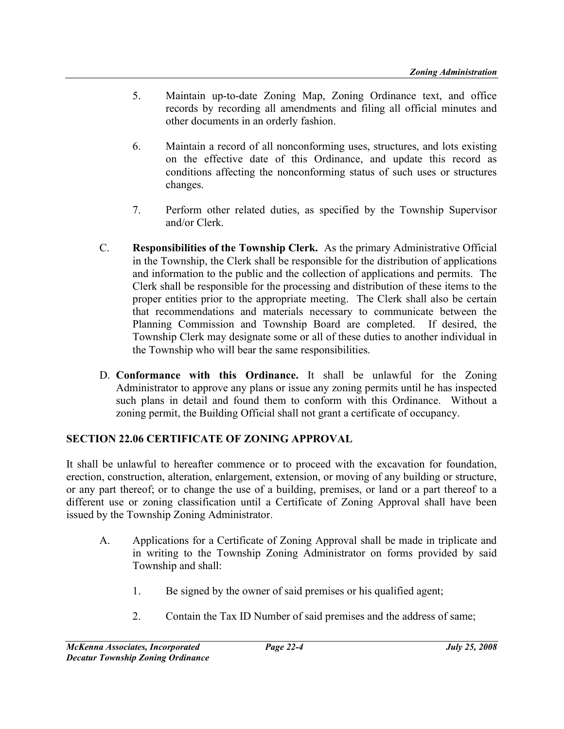- 5. Maintain up-to-date Zoning Map, Zoning Ordinance text, and office records by recording all amendments and filing all official minutes and other documents in an orderly fashion.
- 6. Maintain a record of all nonconforming uses, structures, and lots existing on the effective date of this Ordinance, and update this record as conditions affecting the nonconforming status of such uses or structures changes.
- 7. Perform other related duties, as specified by the Township Supervisor and/or Clerk.
- C. Responsibilities of the Township Clerk. As the primary Administrative Official in the Township, the Clerk shall be responsible for the distribution of applications and information to the public and the collection of applications and permits. The Clerk shall be responsible for the processing and distribution of these items to the proper entities prior to the appropriate meeting. The Clerk shall also be certain that recommendations and materials necessary to communicate between the Planning Commission and Township Board are completed. If desired, the Township Clerk may designate some or all of these duties to another individual in the Township who will bear the same responsibilities.
- D. Conformance with this Ordinance. It shall be unlawful for the Zoning Administrator to approve any plans or issue any zoning permits until he has inspected such plans in detail and found them to conform with this Ordinance. Without a zoning permit, the Building Official shall not grant a certificate of occupancy.

## SECTION 22.06 CERTIFICATE OF ZONING APPROVAL

It shall be unlawful to hereafter commence or to proceed with the excavation for foundation, erection, construction, alteration, enlargement, extension, or moving of any building or structure, or any part thereof; or to change the use of a building, premises, or land or a part thereof to a different use or zoning classification until a Certificate of Zoning Approval shall have been issued by the Township Zoning Administrator.

- A. Applications for a Certificate of Zoning Approval shall be made in triplicate and in writing to the Township Zoning Administrator on forms provided by said Township and shall:
	- 1. Be signed by the owner of said premises or his qualified agent;
	- 2. Contain the Tax ID Number of said premises and the address of same;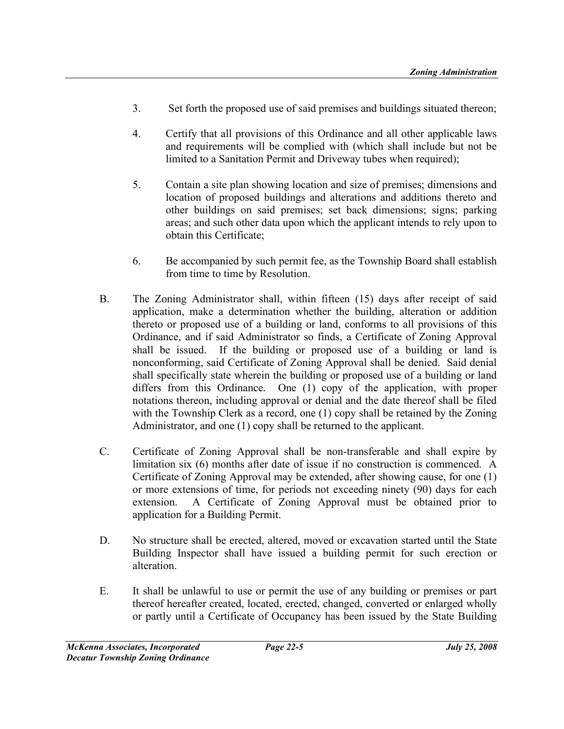- 3. Set forth the proposed use of said premises and buildings situated thereon;
- 4. Certify that all provisions of this Ordinance and all other applicable laws and requirements will be complied with (which shall include but not be limited to a Sanitation Permit and Driveway tubes when required);
- 5. Contain a site plan showing location and size of premises; dimensions and location of proposed buildings and alterations and additions thereto and other buildings on said premises; set back dimensions; signs; parking areas; and such other data upon which the applicant intends to rely upon to obtain this Certificate;
- 6. Be accompanied by such permit fee, as the Township Board shall establish from time to time by Resolution.
- B. The Zoning Administrator shall, within fifteen (15) days after receipt of said application, make a determination whether the building, alteration or addition thereto or proposed use of a building or land, conforms to all provisions of this Ordinance, and if said Administrator so finds, a Certificate of Zoning Approval shall be issued. If the building or proposed use of a building or land is nonconforming, said Certificate of Zoning Approval shall be denied. Said denial shall specifically state wherein the building or proposed use of a building or land differs from this Ordinance. One (1) copy of the application, with proper notations thereon, including approval or denial and the date thereof shall be filed with the Township Clerk as a record, one (1) copy shall be retained by the Zoning Administrator, and one (1) copy shall be returned to the applicant.
- C. Certificate of Zoning Approval shall be non-transferable and shall expire by limitation six (6) months after date of issue if no construction is commenced. A Certificate of Zoning Approval may be extended, after showing cause, for one (1) or more extensions of time, for periods not exceeding ninety (90) days for each extension. A Certificate of Zoning Approval must be obtained prior to application for a Building Permit.
- D. No structure shall be erected, altered, moved or excavation started until the State Building Inspector shall have issued a building permit for such erection or alteration.
- E. It shall be unlawful to use or permit the use of any building or premises or part thereof hereafter created, located, erected, changed, converted or enlarged wholly or partly until a Certificate of Occupancy has been issued by the State Building